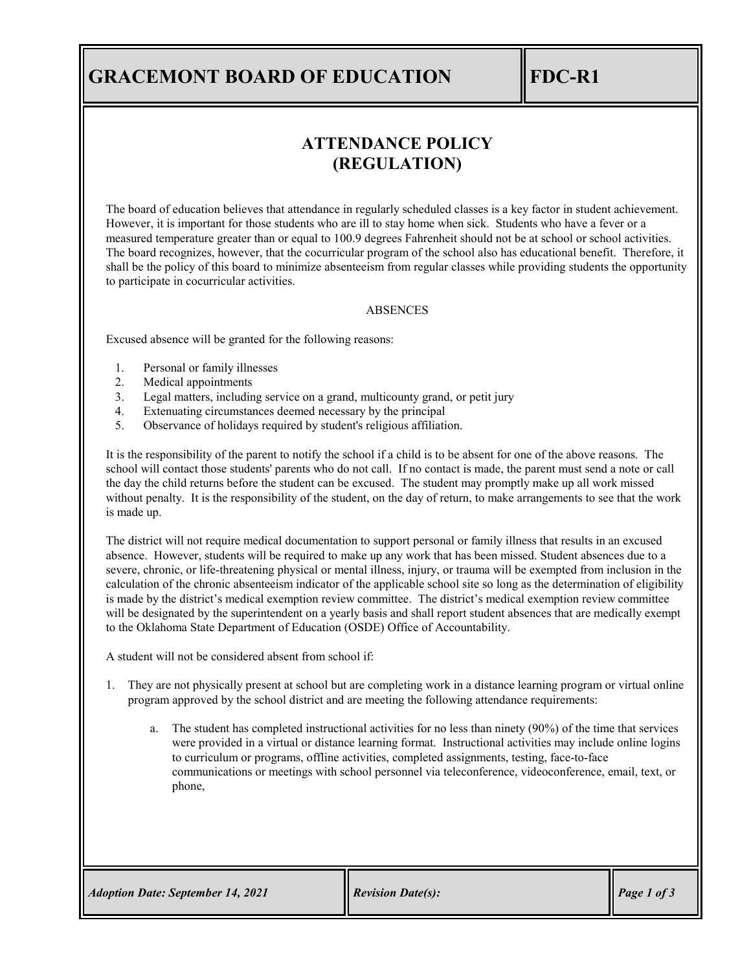# **GRACEMONT BOARD OF EDUCATION FDC-R1**

## **ATTENDANCE POLICY (REGULATION)**

The board of education believes that attendance in regularly scheduled classes is a key factor in student achievement. However, it is important for those students who are ill to stay home when sick. Students who have a fever or a measured temperature greater than or equal to 100.9 degrees Fahrenheit should not be at school or school activities. The board recognizes, however, that the cocurricular program of the school also has educational benefit. Therefore, it shall be the policy of this board to minimize absenteeism from regular classes while providing students the opportunity to participate in cocurricular activities.

#### ABSENCES

Excused absence will be granted for the following reasons:

- 1. Personal or family illnesses
- 2. Medical appointments
- 3. Legal matters, including service on a grand, multicounty grand, or petit jury
- 4. Extenuating circumstances deemed necessary by the principal
- 5. Observance of holidays required by student's religious affiliation.

It is the responsibility of the parent to notify the school if a child is to be absent for one of the above reasons. The school will contact those students' parents who do not call. If no contact is made, the parent must send a note or call the day the child returns before the student can be excused. The student may promptly make up all work missed without penalty. It is the responsibility of the student, on the day of return, to make arrangements to see that the work is made up.

The district will not require medical documentation to support personal or family illness that results in an excused absence. However, students will be required to make up any work that has been missed. Student absences due to a severe, chronic, or life-threatening physical or mental illness, injury, or trauma will be exempted from inclusion in the calculation of the chronic absenteeism indicator of the applicable school site so long as the determination of eligibility is made by the district's medical exemption review committee. The district's medical exemption review committee will be designated by the superintendent on a yearly basis and shall report student absences that are medically exempt to the Oklahoma State Department of Education (OSDE) Office of Accountability.

A student will not be considered absent from school if:

- 1. They are not physically present at school but are completing work in a distance learning program or virtual online program approved by the school district and are meeting the following attendance requirements:
	- a. The student has completed instructional activities for no less than ninety (90%) of the time that services were provided in a virtual or distance learning format. Instructional activities may include online logins to curriculum or programs, offline activities, completed assignments, testing, face-to-face communications or meetings with school personnel via teleconference, videoconference, email, text, or phone,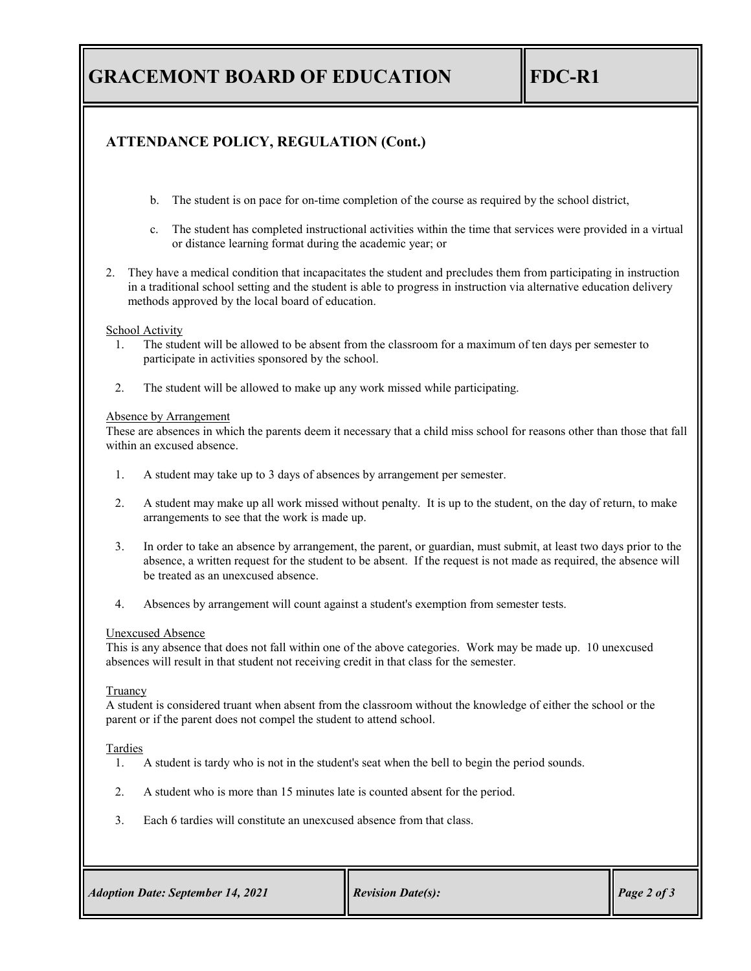# **GRACEMONT BOARD OF EDUCATION FDC-R1**

## **ATTENDANCE POLICY, REGULATION (Cont.)**

- b. The student is on pace for on-time completion of the course as required by the school district,
- c. The student has completed instructional activities within the time that services were provided in a virtual or distance learning format during the academic year; or
- 2. They have a medical condition that incapacitates the student and precludes them from participating in instruction in a traditional school setting and the student is able to progress in instruction via alternative education delivery methods approved by the local board of education.

### School Activity

- 1. The student will be allowed to be absent from the classroom for a maximum of ten days per semester to participate in activities sponsored by the school.
- 2. The student will be allowed to make up any work missed while participating.

#### Absence by Arrangement

These are absences in which the parents deem it necessary that a child miss school for reasons other than those that fall within an excused absence.

- 1. A student may take up to 3 days of absences by arrangement per semester.
- 2. A student may make up all work missed without penalty. It is up to the student, on the day of return, to make arrangements to see that the work is made up.
- 3. In order to take an absence by arrangement, the parent, or guardian, must submit, at least two days prior to the absence, a written request for the student to be absent. If the request is not made as required, the absence will be treated as an unexcused absence.
- 4. Absences by arrangement will count against a student's exemption from semester tests.

#### Unexcused Absence

This is any absence that does not fall within one of the above categories. Work may be made up. 10 unexcused absences will result in that student not receiving credit in that class for the semester.

#### Truancy

A student is considered truant when absent from the classroom without the knowledge of either the school or the parent or if the parent does not compel the student to attend school.

### Tardies

- 1. A student is tardy who is not in the student's seat when the bell to begin the period sounds.
- 2. A student who is more than 15 minutes late is counted absent for the period.
- 3. Each 6 tardies will constitute an unexcused absence from that class.

| <b>Adoption Date: September 14, 2021</b> | <b>Revision Date(s):</b> | $\vert$ Page 2 of 3 |
|------------------------------------------|--------------------------|---------------------|
|                                          |                          |                     |